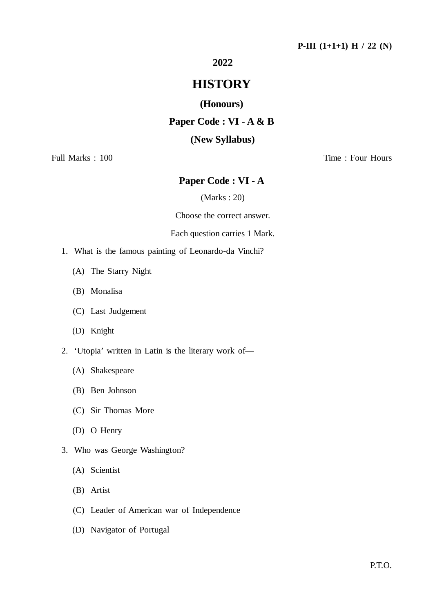# **2022**

# **HISTORY**

**(Honours)**

# **Paper Code : VI - A & B**

### **(New Syllabus)**

Full Marks : 100 Time : Four Hours

### **Paper Code : VI - A**

(Marks : 20)

Choose the correct answer.

#### Each question carries 1 Mark.

- 1. What is the famous painting of Leonardo-da Vinchi?
	- (A) The Starry Night
	- (B) Monalisa
	- (C) Last Judgement
	- (D) Knight
- 2. 'Utopia' written in Latin is the literary work of—
	- (A) Shakespeare
	- (B) Ben Johnson
	- (C) Sir Thomas More
	- (D) O Henry
- 3. Who was George Washington?
	- (A) Scientist
	- (B) Artist
	- (C) Leader of American war of Independence
	- (D) Navigator of Portugal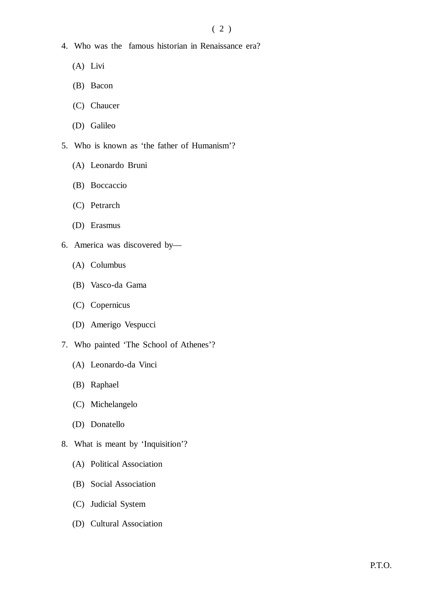- 4. Who was the famous historian in Renaissance era?
	- (A) Livi
	- (B) Bacon
	- (C) Chaucer
	- (D) Galileo
- 5. Who is known as 'the father of Humanism'?
	- (A) Leonardo Bruni
	- (B) Boccaccio
	- (C) Petrarch
	- (D) Erasmus
- 6. America was discovered by—
	- (A) Columbus
	- (B) Vasco-da Gama
	- (C) Copernicus
	- (D) Amerigo Vespucci
- 7. Who painted 'The School of Athenes'?
	- (A) Leonardo-da Vinci
	- (B) Raphael
	- (C) Michelangelo
	- (D) Donatello
- 8. What is meant by 'Inquisition'?
	- (A) Political Association
	- (B) Social Association
	- (C) Judicial System
	- (D) Cultural Association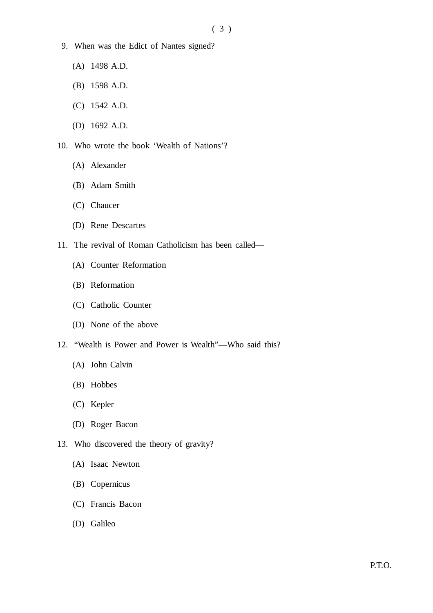- 9. When was the Edict of Nantes signed?
	- (A) 1498 A.D.
	- (B) 1598 A.D.
	- (C) 1542 A.D.
	- (D) 1692 A.D.
- 10. Who wrote the book 'Wealth of Nations'?
	- (A) Alexander
	- (B) Adam Smith
	- (C) Chaucer
	- (D) Rene Descartes
- 11. The revival of Roman Catholicism has been called—
	- (A) Counter Reformation
	- (B) Reformation
	- (C) Catholic Counter
	- (D) None of the above
- 12. "Wealth is Power and Power is Wealth"—Who said this?
	- (A) John Calvin
	- (B) Hobbes
	- (C) Kepler
	- (D) Roger Bacon
- 13. Who discovered the theory of gravity?
	- (A) Isaac Newton
	- (B) Copernicus
	- (C) Francis Bacon
	- (D) Galileo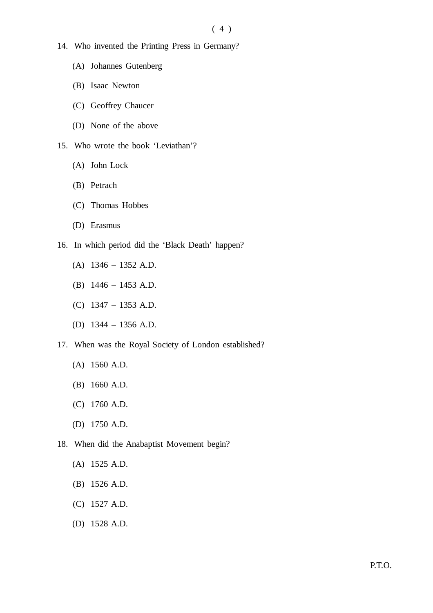$(4)$ 

- 14. Who invented the Printing Press in Germany?
	- (A) Johannes Gutenberg
	- (B) Isaac Newton
	- (C) Geoffrey Chaucer
	- (D) None of the above
- 15. Who wrote the book 'Leviathan'?
	- (A) John Lock
	- (B) Petrach
	- (C) Thomas Hobbes
	- (D) Erasmus
- 16. In which period did the 'Black Death' happen?
	- (A) 1346 1352 A.D.
	- (B) 1446 1453 A.D.
	- (C) 1347 1353 A.D.
	- (D) 1344 1356 A.D.
- 17. When was the Royal Society of London established?
	- (A) 1560 A.D.
	- (B) 1660 A.D.
	- (C) 1760 A.D.
	- (D) 1750 A.D.
- 18. When did the Anabaptist Movement begin?
	- (A) 1525 A.D.
	- (B) 1526 A.D.
	- (C) 1527 A.D.
	- (D) 1528 A.D.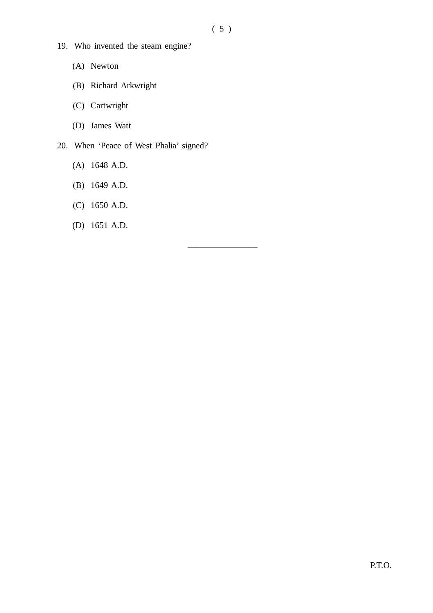————————

- 19. Who invented the steam engine?
	- (A) Newton
	- (B) Richard Arkwright
	- (C) Cartwright
	- (D) James Watt
- 20. When 'Peace of West Phalia' signed?
	- (A) 1648 A.D.
	- (B) 1649 A.D.
	- (C) 1650 A.D.
	- (D) 1651 A.D.